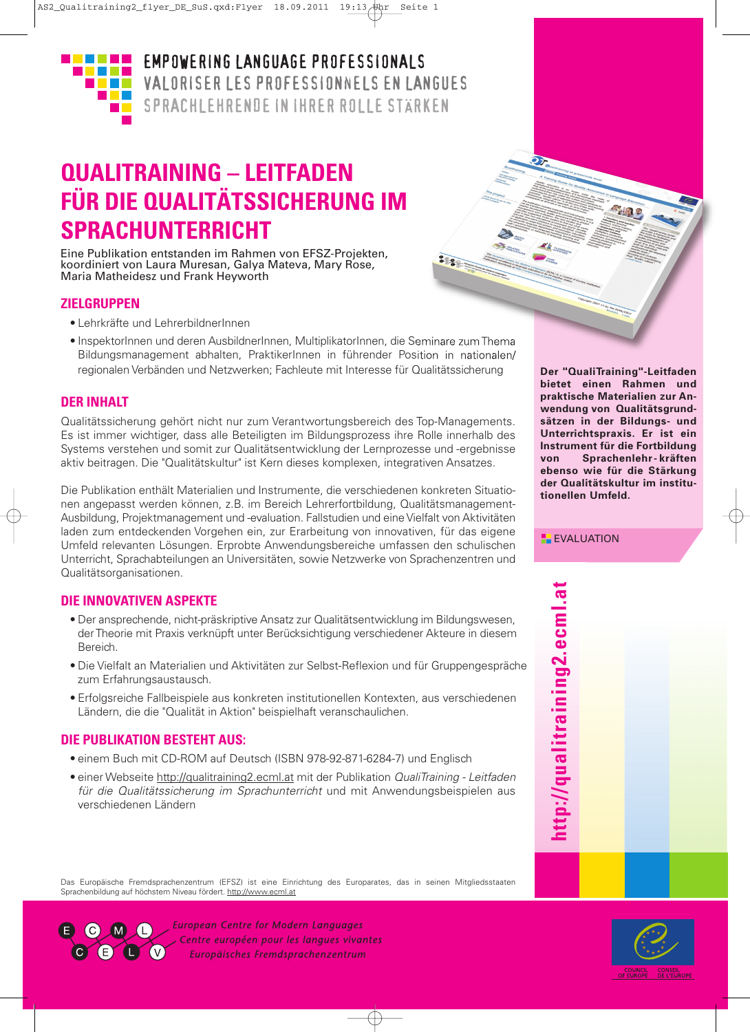

**EMPOWERING LANGUAGE PROFESSIONALS** VALORISER LES PROFESSIONNELS EN LANGUES SPRACHLEHRENDE IN IHRER ROLLE STÄRKEN

# **QUALITRAINING – LEITFADEN FÜR DIE QUALITÄTSSICHERUNG IM SPRACHUNTERRICHT**

Eine Publikation entstanden im Rahmen von EFSZ-Projekten, koordiniert von Laura Muresan, Galya Mateva, Mary Rose, Maria Matheidesz und Frank Heyworth

### **ZIELGRUPPEN**

- Lehrkräfte und LehrerbildnerInnen
- InspektorInnen und deren AusbildnerInnen, MultiplikatorInnen, die Seminare zumThema Bildungsmanagement abhalten, PraktikerInnen in führender Position in nationalen/ regionalen Verbänden und Netzwerken; Fachleute mit Interesse für Qualitätssicherung

8880

### **DER INHALT**

Qualitätssicherung gehört nicht nur zum Verantwortungsbereich des Top-Managements. Es ist immer wichtiger, dass alle Beteiligten im Bildungsprozess ihre Rolle innerhalb des Systems verstehen und somit zur Qualitätsentwicklung der Lernprozesse und -ergebnisse aktiv beitragen. Die "Qualitätskultur" ist Kern dieses komplexen, integrativen Ansatzes.

Die Publikation enthält Materialien und Instrumente, die verschiedenen konkreten Situationen angepasst werden können, z.B. im Bereich Lehrerfortbildung, Qualitätsmanagement-Ausbildung, Projektmanagement und -evaluation. Fallstudien und eine Vielfalt von Aktivitäten laden zum entdeckenden Vorgehen ein, zur Erarbeitung von innovativen, für das eigene Umfeld relevanten Lösungen. Erprobte Anwendungsbereiche umfassen den schulischen Unterricht, Sprachabteilungen an Universitäten, sowie Netzwerke von Sprachenzentren und Qualitätsorganisationen.

## **DIE INNOVATIVEN ASPEKTE**

- Der ansprechende, nicht-präskriptive Ansatz zur Qualitätsentwicklung im Bildungswesen, derTheorie mit Praxis verknüpft unter Berücksichtigung verschiedener Akteure in diesem Bereich.
- Die Vielfalt an Materialien und Aktivitäten zur Selbst-Reflexion und für Gruppengespräche zum Erfahrungsaustausch.
- Erfolgsreiche Fallbeispiele aus konkreten institutionellen Kontexten, aus verschiedenen Ländern, die die "Qualität in Aktion" beispielhaft veranschaulichen.

## **DIE PUBLIKATION BESTEHT AUS:**

- einem Buch mit CD-ROM auf Deutsch (ISBN 978-92-871-6284-7) und Englisch
- einer Webseite http://qualitraining2.ecml.at mit der Publikation *QualiTraining - Leitfaden für die Qualitätssicherung im Sprachunterricht* und mit Anwendungsbeispielen aus verschiedenen Ländern

Das Europäische Fremdsprachenzentrum (EFSZ) ist eine Einrichtung des Europarates, das in seinen Mitgliedsstaaten Sprachenbildung auf höchstem Niveau fördert. http://www.ecml.at



**European Centre for Modern Languages** Centre européen pour les langues vivantes Europäisches Fremdsprachenzentrum

**Der "QualiTraining"-Leitfaden bietet einen Rahmen und praktische Materialien zur Anwendung von Qualitätsgrundsätzen in der Bildungs- und Unterrichtspraxis. Er ist ein Instrument für die Fortbildung von Sprachenlehr - kräften ebenso wie für die Stärkung der Qualitätskultur im institutionellen Umfeld.**

49.

**EXALUATION** 

**ht t p:// q u alit r ainin g 2.e c ml.a t**